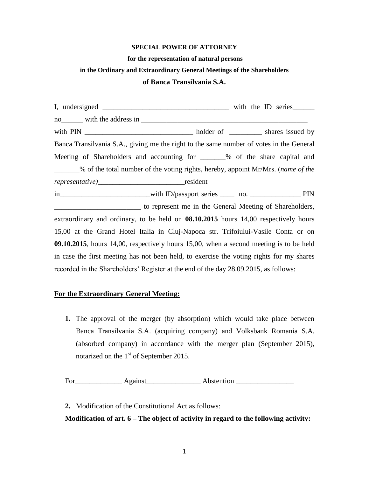### **SPECIAL POWER OF ATTORNEY**

#### **for the representation of natural persons**

# **in the Ordinary and Extraordinary General Meetings of the Shareholders**

#### **of Banca Transilvania S.A.**

| Banca Transilvania S.A., giving me the right to the same number of votes in the General    |  |  |
|--------------------------------------------------------------------------------------------|--|--|
| Meeting of Shareholders and accounting for ______% of the share capital and                |  |  |
| % of the total number of the voting rights, hereby, appoint Mr/Mrs. (name of the           |  |  |
|                                                                                            |  |  |
|                                                                                            |  |  |
| to represent me in the General Meeting of Shareholders,                                    |  |  |
| extraordinary and ordinary, to be held on <b>08.10.2015</b> hours 14,00 respectively hours |  |  |
| 15,00 at the Grand Hotel Italia in Cluj-Napoca str. Trifoiului-Vasile Conta or on          |  |  |
| 09.10.2015, hours 14,00, respectively hours 15,00, when a second meeting is to be held     |  |  |
| in case the first meeting has not been held, to exercise the voting rights for my shares   |  |  |
| recorded in the Shareholders' Register at the end of the day 28.09.2015, as follows:       |  |  |

#### **For the Extraordinary General Meeting:**

**1.** The approval of the merger (by absorption) which would take place between Banca Transilvania S.A. (acquiring company) and Volksbank Romania S.A. (absorbed company) in accordance with the merger plan (September 2015), notarized on the 1<sup>st</sup> of September 2015.

For\_\_\_\_\_\_\_\_\_\_\_\_\_ Against\_\_\_\_\_\_\_\_\_\_\_\_\_\_\_ Abstention \_\_\_\_\_\_\_\_\_\_\_\_\_\_\_\_

**2.** Modification of the Constitutional Act as follows:

## **Modification of art. 6 – The object of activity in regard to the following activity:**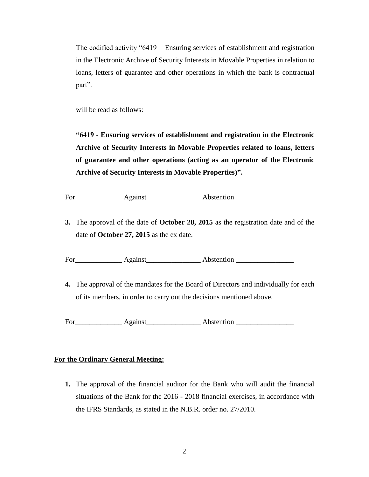The codified activity "6419 – Ensuring services of establishment and registration in the Electronic Archive of Security Interests in Movable Properties in relation to loans, letters of guarantee and other operations in which the bank is contractual part".

will be read as follows:

**"6419 - Ensuring services of establishment and registration in the Electronic Archive of Security Interests in Movable Properties related to loans, letters of guarantee and other operations (acting as an operator of the Electronic Archive of Security Interests in Movable Properties)".**

For\_\_\_\_\_\_\_\_\_\_\_\_\_ Against\_\_\_\_\_\_\_\_\_\_\_\_\_\_\_ Abstention \_\_\_\_\_\_\_\_\_\_\_\_\_\_\_\_

**3.** The approval of the date of **October 28, 2015** as the registration date and of the date of **October 27, 2015** as the ex date.

For Against Abstention

**4.** The approval of the mandates for the Board of Directors and individually for each of its members, in order to carry out the decisions mentioned above.

For Against Abstention

## **For the Ordinary General Meeting:**

**1.** The approval of the financial auditor for the Bank who will audit the financial situations of the Bank for the 2016 - 2018 financial exercises, in accordance with the IFRS Standards, as stated in the N.B.R. order no. 27/2010.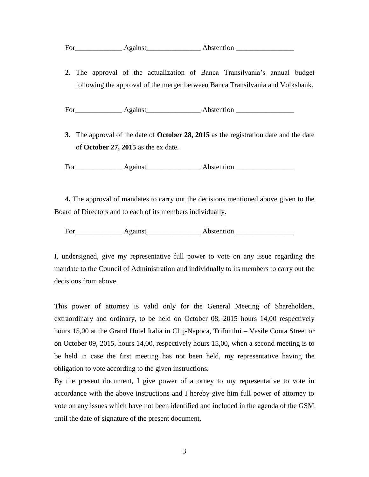**2.** The approval of the actualization of Banca Transilvania's annual budget following the approval of the merger between Banca Transilvania and Volksbank.

For\_\_\_\_\_\_\_\_\_\_\_\_\_ Against\_\_\_\_\_\_\_\_\_\_\_\_\_\_\_ Abstention \_\_\_\_\_\_\_\_\_\_\_\_\_\_\_\_

**3.** The approval of the date of **October 28, 2015** as the registration date and the date of **October 27, 2015** as the ex date.

For Against Assention Abstention **Abstention** 

**4.** The approval of mandates to carry out the decisions mentioned above given to the Board of Directors and to each of its members individually.

For Against Abstention **Abstention** 

I, undersigned, give my representative full power to vote on any issue regarding the mandate to the Council of Administration and individually to its members to carry out the decisions from above.

This power of attorney is valid only for the General Meeting of Shareholders, extraordinary and ordinary, to be held on October 08, 2015 hours 14,00 respectively hours 15,00 at the Grand Hotel Italia in Cluj-Napoca, Trifoiului – Vasile Conta Street or on October 09, 2015, hours 14,00, respectively hours 15,00, when a second meeting is to be held in case the first meeting has not been held, my representative having the obligation to vote according to the given instructions.

By the present document, I give power of attorney to my representative to vote in accordance with the above instructions and I hereby give him full power of attorney to vote on any issues which have not been identified and included in the agenda of the GSM until the date of signature of the present document.